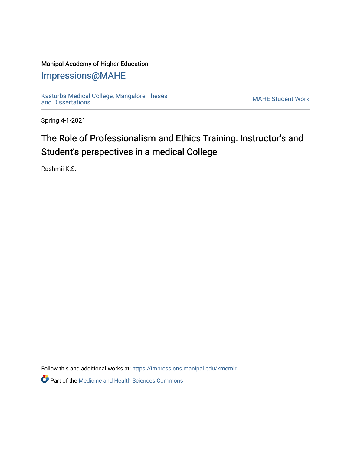## Manipal Academy of Higher Education

# [Impressions@MAHE](https://impressions.manipal.edu/)

[Kasturba Medical College, Mangalore Theses](https://impressions.manipal.edu/kmcmlr) [and Dissertations](https://impressions.manipal.edu/kmcmlr) [MAHE Student Work](https://impressions.manipal.edu/student-work) 

Spring 4-1-2021

# The Role of Professionalism and Ethics Training: Instructor's and Student's perspectives in a medical College

Rashmii K.S.

Follow this and additional works at: [https://impressions.manipal.edu/kmcmlr](https://impressions.manipal.edu/kmcmlr?utm_source=impressions.manipal.edu%2Fkmcmlr%2F46&utm_medium=PDF&utm_campaign=PDFCoverPages) 

**Part of the Medicine and Health Sciences Commons**